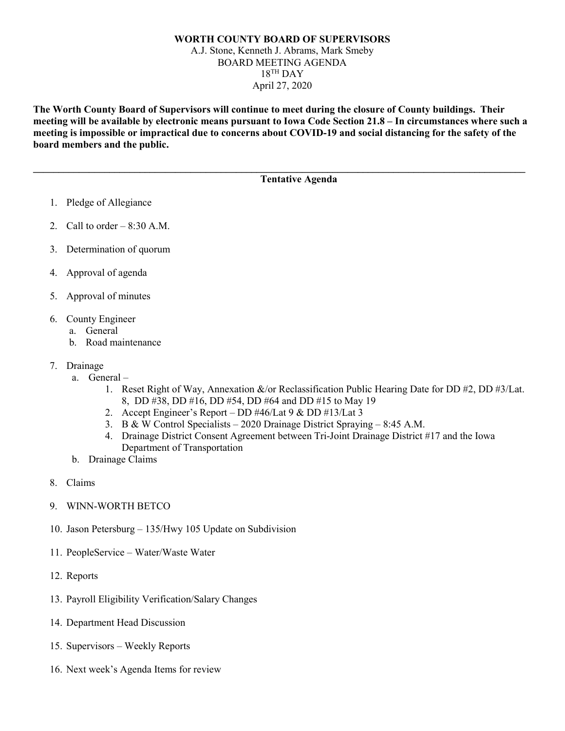## **WORTH COUNTY BOARD OF SUPERVISORS** A.J. Stone, Kenneth J. Abrams, Mark Smeby BOARD MEETING AGENDA  $18$ <sup>TH</sup> DAY April 27, 2020

**The Worth County Board of Supervisors will continue to meet during the closure of County buildings. Their meeting will be available by electronic means pursuant to Iowa Code Section 21.8 – In circumstances where such a meeting is impossible or impractical due to concerns about COVID-19 and social distancing for the safety of the board members and the public.** 

**\_\_\_\_\_\_\_\_\_\_\_\_\_\_\_\_\_\_\_\_\_\_\_\_\_\_\_\_\_\_\_\_\_\_\_\_\_\_\_\_\_\_\_\_\_\_\_\_\_\_\_\_\_\_\_\_\_\_\_\_\_\_\_\_\_\_\_\_\_\_\_\_\_\_\_\_\_\_\_\_\_\_\_\_\_\_\_\_\_\_\_\_\_\_\_\_\_**

## **Tentative Agenda**

- 1. Pledge of Allegiance
- 2. Call to order  $-8:30$  A.M.
- 3. Determination of quorum
- 4. Approval of agenda
- 5. Approval of minutes
- 6. County Engineer
	- a. General
	- b. Road maintenance
- 7. Drainage
	- a. General
		- 1. Reset Right of Way, Annexation &/or Reclassification Public Hearing Date for DD #2, DD #3/Lat. 8, DD #38, DD #16, DD #54, DD #64 and DD #15 to May 19
		- 2. Accept Engineer's Report DD #46/Lat 9 & DD #13/Lat 3
		- 3. B & W Control Specialists 2020 Drainage District Spraying 8:45 A.M.
		- 4. Drainage District Consent Agreement between Tri-Joint Drainage District #17 and the Iowa Department of Transportation
	- b. Drainage Claims
- 8. Claims
- 9. WINN-WORTH BETCO
- 10. Jason Petersburg 135/Hwy 105 Update on Subdivision
- 11. PeopleService Water/Waste Water
- 12. Reports
- 13. Payroll Eligibility Verification/Salary Changes
- 14. Department Head Discussion
- 15. Supervisors Weekly Reports
- 16. Next week's Agenda Items for review